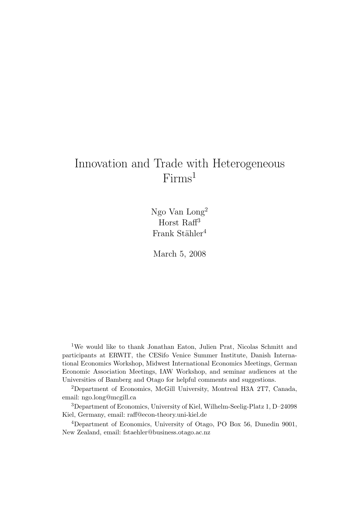# Innovation and Trade with Heterogeneous Firms<sup>1</sup>

Ngo Van Long<sup>2</sup> Horst Raff<sup>3</sup> Frank Stähler<sup>4</sup>

March 5, 2008

<sup>1</sup>We would like to thank Jonathan Eaton, Julien Prat, Nicolas Schmitt and participants at ERWIT, the CESifo Venice Summer Institute, Danish International Economics Workshop, Midwest International Economics Meetings, German Economic Association Meetings, IAW Workshop, and seminar audiences at the Universities of Bamberg and Otago for helpful comments and suggestions.

<sup>2</sup>Department of Economics, McGill University, Montreal H3A 2T7, Canada, email: ngo.long@mcgill.ca

<sup>3</sup>Department of Economics, University of Kiel, Wilhelm-Seelig-Platz 1, D–24098 Kiel, Germany, email: raff@econ-theory.uni-kiel.de

<sup>4</sup>Department of Economics, University of Otago, PO Box 56, Dunedin 9001, New Zealand, email: fstaehler@business.otago.ac.nz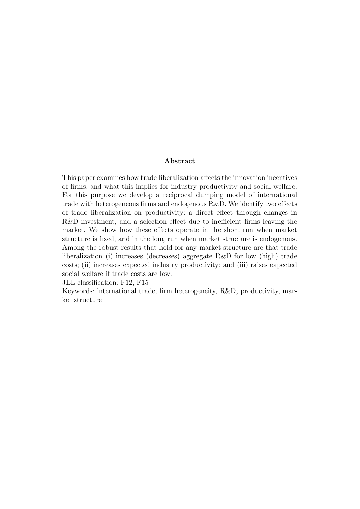#### Abstract

This paper examines how trade liberalization affects the innovation incentives of firms, and what this implies for industry productivity and social welfare. For this purpose we develop a reciprocal dumping model of international trade with heterogeneous firms and endogenous R&D. We identify two effects of trade liberalization on productivity: a direct effect through changes in R&D investment, and a selection effect due to inefficient firms leaving the market. We show how these effects operate in the short run when market structure is fixed, and in the long run when market structure is endogenous. Among the robust results that hold for any market structure are that trade liberalization (i) increases (decreases) aggregate R&D for low (high) trade costs; (ii) increases expected industry productivity; and (iii) raises expected social welfare if trade costs are low.

JEL classification: F12, F15

Keywords: international trade, firm heterogeneity, R&D, productivity, market structure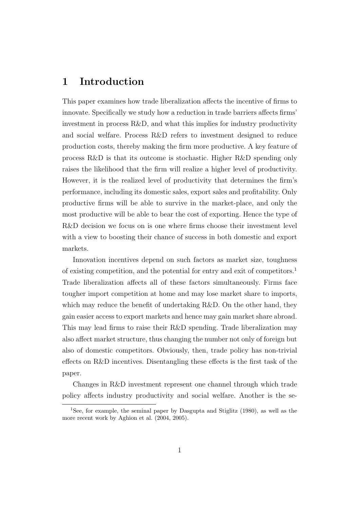### 1 Introduction

This paper examines how trade liberalization affects the incentive of firms to innovate. Specifically we study how a reduction in trade barriers affects firms' investment in process R&D, and what this implies for industry productivity and social welfare. Process R&D refers to investment designed to reduce production costs, thereby making the firm more productive. A key feature of process R&D is that its outcome is stochastic. Higher R&D spending only raises the likelihood that the firm will realize a higher level of productivity. However, it is the realized level of productivity that determines the firm's performance, including its domestic sales, export sales and profitability. Only productive firms will be able to survive in the market-place, and only the most productive will be able to bear the cost of exporting. Hence the type of R&D decision we focus on is one where firms choose their investment level with a view to boosting their chance of success in both domestic and export markets.

Innovation incentives depend on such factors as market size, toughness of existing competition, and the potential for entry and exit of competitors.<sup>1</sup> Trade liberalization affects all of these factors simultaneously. Firms face tougher import competition at home and may lose market share to imports, which may reduce the benefit of undertaking R&D. On the other hand, they gain easier access to export markets and hence may gain market share abroad. This may lead firms to raise their R&D spending. Trade liberalization may also affect market structure, thus changing the number not only of foreign but also of domestic competitors. Obviously, then, trade policy has non-trivial effects on R&D incentives. Disentangling these effects is the first task of the paper.

Changes in R&D investment represent one channel through which trade policy affects industry productivity and social welfare. Another is the se-

<sup>1</sup>See, for example, the seminal paper by Dasgupta and Stiglitz (1980), as well as the more recent work by Aghion et al. (2004, 2005).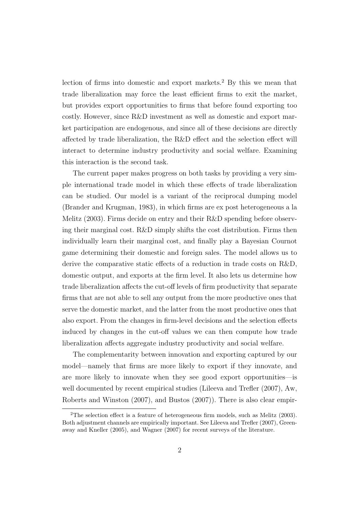lection of firms into domestic and export markets.<sup>2</sup> By this we mean that trade liberalization may force the least efficient firms to exit the market, but provides export opportunities to firms that before found exporting too costly. However, since R&D investment as well as domestic and export market participation are endogenous, and since all of these decisions are directly affected by trade liberalization, the R&D effect and the selection effect will interact to determine industry productivity and social welfare. Examining this interaction is the second task.

The current paper makes progress on both tasks by providing a very simple international trade model in which these effects of trade liberalization can be studied. Our model is a variant of the reciprocal dumping model (Brander and Krugman, 1983), in which firms are ex post heterogeneous a la Melitz (2003). Firms decide on entry and their R&D spending before observing their marginal cost. R&D simply shifts the cost distribution. Firms then individually learn their marginal cost, and finally play a Bayesian Cournot game determining their domestic and foreign sales. The model allows us to derive the comparative static effects of a reduction in trade costs on R&D, domestic output, and exports at the firm level. It also lets us determine how trade liberalization affects the cut-off levels of firm productivity that separate firms that are not able to sell any output from the more productive ones that serve the domestic market, and the latter from the most productive ones that also export. From the changes in firm-level decisions and the selection effects induced by changes in the cut-off values we can then compute how trade liberalization affects aggregate industry productivity and social welfare.

The complementarity between innovation and exporting captured by our model—namely that firms are more likely to export if they innovate, and are more likely to innovate when they see good export opportunities—is well documented by recent empirical studies (Lileeva and Trefler (2007), Aw, Roberts and Winston (2007), and Bustos (2007)). There is also clear empir-

<sup>2</sup>The selection effect is a feature of heterogeneous firm models, such as Melitz (2003). Both adjustment channels are empirically important. See Lileeva and Trefler (2007), Greenaway and Kneller (2005), and Wagner (2007) for recent surveys of the literature.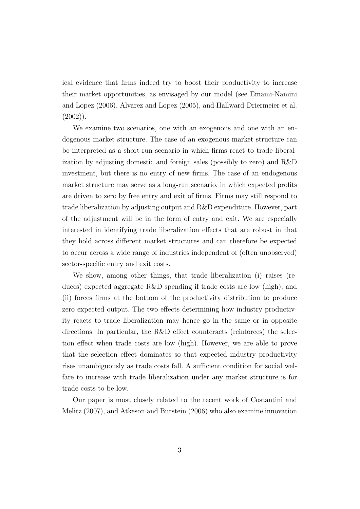ical evidence that firms indeed try to boost their productivity to increase their market opportunities, as envisaged by our model (see Emami-Namini and Lopez (2006), Alvarez and Lopez (2005), and Hallward-Driermeier et al.  $(2002)$ ).

We examine two scenarios, one with an exogenous and one with an endogenous market structure. The case of an exogenous market structure can be interpreted as a short-run scenario in which firms react to trade liberalization by adjusting domestic and foreign sales (possibly to zero) and R&D investment, but there is no entry of new firms. The case of an endogenous market structure may serve as a long-run scenario, in which expected profits are driven to zero by free entry and exit of firms. Firms may still respond to trade liberalization by adjusting output and R&D expenditure. However, part of the adjustment will be in the form of entry and exit. We are especially interested in identifying trade liberalization effects that are robust in that they hold across different market structures and can therefore be expected to occur across a wide range of industries independent of (often unobserved) sector-specific entry and exit costs.

We show, among other things, that trade liberalization (i) raises (reduces) expected aggregate R&D spending if trade costs are low (high); and (ii) forces firms at the bottom of the productivity distribution to produce zero expected output. The two effects determining how industry productivity reacts to trade liberalization may hence go in the same or in opposite directions. In particular, the R&D effect counteracts (reinforces) the selection effect when trade costs are low (high). However, we are able to prove that the selection effect dominates so that expected industry productivity rises unambiguously as trade costs fall. A sufficient condition for social welfare to increase with trade liberalization under any market structure is for trade costs to be low.

Our paper is most closely related to the recent work of Costantini and Melitz (2007), and Atkeson and Burstein (2006) who also examine innovation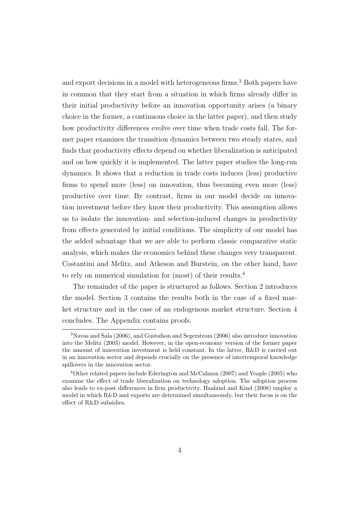and export decisions in a model with heterogeneous firms.<sup>3</sup> Both papers have in common that they start from a situation in which firms already differ in their initial productivity before an innovation opportunity arises (a binary choice in the former, a continuous choice in the latter paper), and then study how productivity differences evolve over time when trade costs fall. The former paper examines the transition dynamics between two steady states, and finds that productivity effects depend on whether liberalization is anticipated and on how quickly it is implemented. The latter paper studies the long-run dynamics. It shows that a reduction in trade costs induces (less) productive firms to spend more (less) on innovation, thus becoming even more (less) productive over time. By contrast, firms in our model decide on innovation investment before they know their productivity. This assumption allows us to isolate the innovation- and selection-induced changes in productivity from effects generated by initial conditions. The simplicity of our model has the added advantage that we are able to perform classic comparative static analysis, which makes the economics behind these changes very transparent. Costantini and Melitz, and Atkeson and Burstein, on the other hand, have to rely on numerical simulation for (most) of their results.<sup>4</sup>

The remainder of the paper is structured as follows. Section 2 introduces the model. Section 3 contains the results both in the case of a fixed market structure and in the case of an endogenous market structure. Section 4 concludes. The Appendix contains proofs.

<sup>3</sup>Navas and Sala (2006), and Gustafson and Segerstrom (2006) also introduce innovation into the Melitz (2003) model. However, in the open-economy version of the former paper the amount of innovation investment is held constant. In the latter, R&D is carried out in an innovation sector and depends crucially on the presence of intertemporal knowledge spillovers in the innovation sector.

<sup>4</sup>Other related papers include Ederington and McCalman (2007) and Yeaple (2005) who examine the effect of trade liberalization on technology adoption. The adoption process also leads to ex-post differences in firm productivity. Haaland and Kind (2008) employ a model in which R&D and exports are determined simultaneously, but their focus is on the effect of R&D subsidies.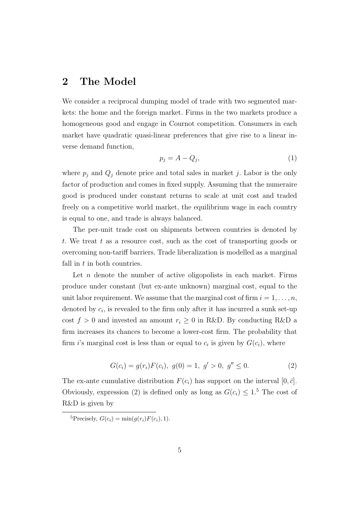### 2 The Model

We consider a reciprocal dumping model of trade with two segmented markets: the home and the foreign market. Firms in the two markets produce a homogeneous good and engage in Cournot competition. Consumers in each market have quadratic quasi-linear preferences that give rise to a linear inverse demand function,

$$
p_j = A - Q_j,\tag{1}
$$

where  $p_j$  and  $Q_j$  denote price and total sales in market j. Labor is the only factor of production and comes in fixed supply. Assuming that the numeraire good is produced under constant returns to scale at unit cost and traded freely on a competitive world market, the equilibrium wage in each country is equal to one, and trade is always balanced.

The per-unit trade cost on shipments between countries is denoted by t. We treat t as a resource cost, such as the cost of transporting goods or overcoming non-tariff barriers. Trade liberalization is modelled as a marginal fall in  $t$  in both countries.

Let  $n$  denote the number of active oligopolists in each market. Firms produce under constant (but ex-ante unknown) marginal cost, equal to the unit labor requirement. We assume that the marginal cost of firm  $i = 1, \ldots, n$ , denoted by  $c_i$ , is revealed to the firm only after it has incurred a sunk set-up cost  $f > 0$  and invested an amount  $r_i \geq 0$  in R&D. By conducting R&D a firm increases its chances to become a lower-cost firm. The probability that firm *i*'s marginal cost is less than or equal to  $c_i$  is given by  $G(c_i)$ , where

$$
G(c_i) = g(r_i)F(c_i), g(0) = 1, g' > 0, g'' \le 0.
$$
\n(2)

The ex-ante cumulative distribution  $F(c_i)$  has support on the interval  $[0, \bar{c}]$ . Obviously, expression (2) is defined only as long as  $G(c_i) \leq 1.5$  The cost of R&D is given by

<sup>&</sup>lt;sup>5</sup>Precisely,  $G(c_i) = \min(g(r_i)F(c_i), 1)$ .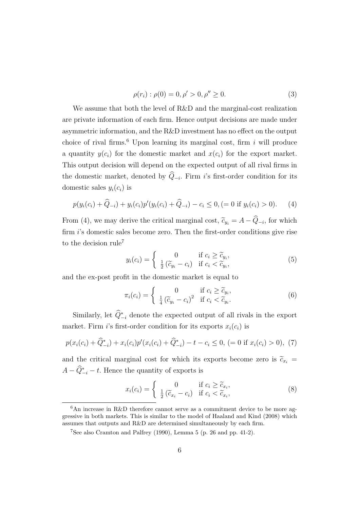$$
\rho(r_i) : \rho(0) = 0, \rho' > 0, \rho'' \ge 0.
$$
\n(3)

We assume that both the level of R&D and the marginal-cost realization are private information of each firm. Hence output decisions are made under asymmetric information, and the R&D investment has no effect on the output choice of rival firms.<sup>6</sup> Upon learning its marginal cost, firm i will produce a quantity  $y(c_i)$  for the domestic market and  $x(c_i)$  for the export market. This output decision will depend on the expected output of all rival firms in the domestic market, denoted by  $Q_{-i}$ . Firm i's first-order condition for its domestic sales  $y_i(c_i)$  is

$$
p(y_i(c_i) + \widehat{Q}_{-i}) + y_i(c_i)p'(y_i(c_i) + \widehat{Q}_{-i}) - c_i \le 0, (= 0 \text{ if } y_i(c_i) > 0).
$$
 (4)

From (4), we may derive the critical marginal cost,  $\tilde{c}_{y_i} = A - Q_{-i}$ , for which firm *i*'s domestic sales become zero. Then the first-order conditions give rise to the decision rule<sup>7</sup>

$$
y_i(c_i) = \begin{cases} 0 & \text{if } c_i \ge \tilde{c}_{y_i}, \\ \frac{1}{2}(\tilde{c}_{y_i} - c_i) & \text{if } c_i < \tilde{c}_{y_i}, \end{cases}
$$
(5)

and the ex-post profit in the domestic market is equal to

$$
\pi_i(c_i) = \begin{cases}\n0 & \text{if } c_i \ge \tilde{c}_{y_i}, \\
\frac{1}{4} (\tilde{c}_{y_i} - c_i)^2 & \text{if } c_i < \tilde{c}_{y_i}.\n\end{cases}
$$
\n(6)

Similarly, let  $\hat{Q}_{-i}^*$  denote the expected output of all rivals in the export market. Firm i's first-order condition for its exports  $x_i(c_i)$  is

$$
p(x_i(c_i) + \widehat{Q}_{-i}^*) + x_i(c_i)p'(x_i(c_i) + \widehat{Q}_{-i}^*) - t - c_i \le 0, (= 0 \text{ if } x_i(c_i) > 0), (7)
$$

and the critical marginal cost for which its exports become zero is  $\tilde{c}_{x_i}$  =  $A - \hat{Q}_{-i}^* - t$ . Hence the quantity of exports is

$$
x_i(c_i) = \begin{cases} 0 & \text{if } c_i \ge \tilde{c}_{x_i}, \\ \frac{1}{2}(\tilde{c}_{x_i} - c_i) & \text{if } c_i < \tilde{c}_{x_i}, \end{cases}
$$
(8)

 $6$ An increase in R&D therefore cannot serve as a commitment device to be more aggressive in both markets. This is similar to the model of Haaland and Kind (2008) which assumes that outputs and R&D are determined simultaneously by each firm.

<sup>7</sup>See also Cramton and Palfrey (1990), Lemma 5 (p. 26 and pp. 41-2).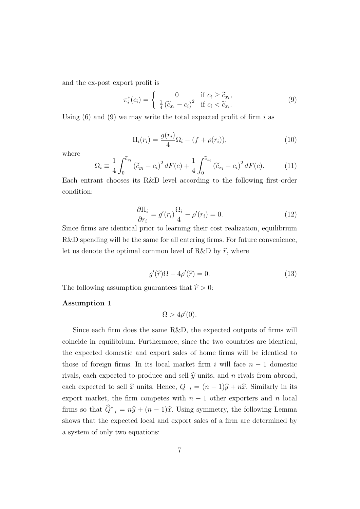and the ex-post export profit is

$$
\pi_i^*(c_i) = \begin{cases}\n0 & \text{if } c_i \ge \tilde{c}_{x_i}, \\
\frac{1}{4} (\tilde{c}_{x_i} - c_i)^2 & \text{if } c_i < \tilde{c}_{x_i}.\n\end{cases}
$$
\n(9)

Using  $(6)$  and  $(9)$  we may write the total expected profit of firm i as

$$
\Pi_i(r_i) = \frac{g(r_i)}{4} \Omega_i - (f + \rho(r_i)),
$$
\n(10)

where

$$
\Omega_i \equiv \frac{1}{4} \int_0^{\tilde{c}_{y_i}} (\tilde{c}_{y_i} - c_i)^2 dF(c) + \frac{1}{4} \int_0^{\tilde{c}_{x_i}} (\tilde{c}_{x_i} - c_i)^2 dF(c).
$$
 (11)

Each entrant chooses its R&D level according to the following first-order condition:

$$
\frac{\partial \Pi_i}{\partial r_i} = g'(r_i) \frac{\Omega_i}{4} - \rho'(r_i) = 0.
$$
\n(12)

Since firms are identical prior to learning their cost realization, equilibrium R&D spending will be the same for all entering firms. For future convenience, let us denote the optimal common level of R&D by  $\hat{r}$ , where

$$
g'(\hat{r})\Omega - 4\rho'(\hat{r}) = 0.
$$
\n(13)

The following assumption guarantees that  $\hat{r} > 0$ :

#### Assumption 1

$$
\Omega > 4\rho'(0).
$$

Since each firm does the same R&D, the expected outputs of firms will coincide in equilibrium. Furthermore, since the two countries are identical, the expected domestic and export sales of home firms will be identical to those of foreign firms. In its local market firm i will face  $n-1$  domestic rivals, each expected to produce and sell  $\hat{y}$  units, and n rivals from abroad, each expected to sell  $\hat{x}$  units. Hence,  $Q_{-i} = (n - 1)\hat{y} + n\hat{x}$ . Similarly in its export market, the firm competes with  $n-1$  other exporters and n local firms so that  $\hat{Q}_{-i}^* = n\hat{y} + (n-1)\hat{x}$ . Using symmetry, the following Lemma shows that the expected local and export sales of a firm are determined by a system of only two equations: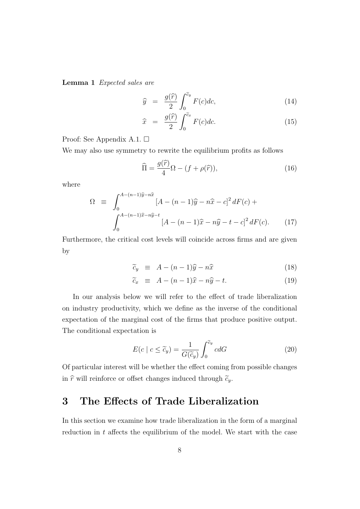Lemma 1 Expected sales are

$$
\widehat{y} = \frac{g(\widehat{r})}{2} \int_0^{\widetilde{c}_y} F(c) dc,
$$
\n(14)

$$
\widehat{x} = \frac{g(\widehat{r})}{2} \int_0^{\widetilde{c}_x} F(c) dc.
$$
\n(15)

Proof: See Appendix A.1.

We may also use symmetry to rewrite the equilibrium profits as follows

$$
\widehat{\Pi} = \frac{g(\widehat{r})}{4} \Omega - (f + \rho(\widehat{r})),\tag{16}
$$

where

$$
\Omega \equiv \int_0^{A - (n-1)\hat{y} - n\hat{x}} [A - (n-1)\hat{y} - n\hat{x} - c]^2 dF(c) +
$$

$$
\int_0^{A - (n-1)\hat{x} - n\hat{y} - t} [A - (n-1)\hat{x} - n\hat{y} - t - c]^2 dF(c). \tag{17}
$$

Furthermore, the critical cost levels will coincide across firms and are given by

$$
\widetilde{c}_y \equiv A - (n-1)\widehat{y} - n\widehat{x} \tag{18}
$$

$$
\widetilde{c}_x \equiv A - (n-1)\widehat{x} - n\widehat{y} - t. \tag{19}
$$

In our analysis below we will refer to the effect of trade liberalization on industry productivity, which we define as the inverse of the conditional expectation of the marginal cost of the firms that produce positive output. The conditional expectation is

$$
E(c \mid c \le \widetilde{c}_y) = \frac{1}{G(\widetilde{c}_y)} \int_0^{\widetilde{c}_y} c dG \tag{20}
$$

Of particular interest will be whether the effect coming from possible changes in  $\hat{r}$  will reinforce or offset changes induced through  $\tilde{c}_y$ .

## 3 The Effects of Trade Liberalization

In this section we examine how trade liberalization in the form of a marginal reduction in  $t$  affects the equilibrium of the model. We start with the case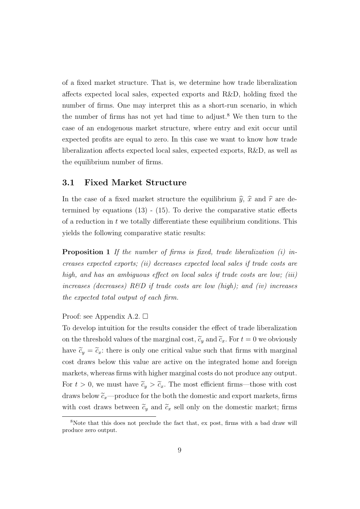of a fixed market structure. That is, we determine how trade liberalization affects expected local sales, expected exports and R&D, holding fixed the number of firms. One may interpret this as a short-run scenario, in which the number of firms has not yet had time to adjust.<sup>8</sup> We then turn to the case of an endogenous market structure, where entry and exit occur until expected profits are equal to zero. In this case we want to know how trade liberalization affects expected local sales, expected exports, R&D, as well as the equilibrium number of firms.

#### 3.1 Fixed Market Structure

In the case of a fixed market structure the equilibrium  $\hat{y}$ ,  $\hat{x}$  and  $\hat{r}$  are determined by equations  $(13)$  -  $(15)$ . To derive the comparative static effects of a reduction in t we totally differentiate these equilibrium conditions. This yields the following comparative static results:

**Proposition 1** If the number of firms is fixed, trade liberalization  $(i)$  increases expected exports; (ii) decreases expected local sales if trade costs are high, and has an ambiguous effect on local sales if trade costs are low: *(iii)* increases (decreases)  $R\&D$  if trade costs are low (high); and (iv) increases the expected total output of each firm.

Proof: see Appendix A.2.  $\square$ 

To develop intuition for the results consider the effect of trade liberalization on the threshold values of the marginal cost,  $\tilde{c}_y$  and  $\tilde{c}_x$ . For  $t = 0$  we obviously have  $\tilde{c}_y = \tilde{c}_x$ : there is only one critical value such that firms with marginal cost draws below this value are active on the integrated home and foreign markets, whereas firms with higher marginal costs do not produce any output. For  $t > 0$ , we must have  $\tilde{c}_y > \tilde{c}_x$ . The most efficient firms—those with cost draws below  $\tilde{c}_x$ —produce for the both the domestic and export markets, firms with cost draws between  $\tilde{c}_y$  and  $\tilde{c}_x$  sell only on the domestic market; firms

<sup>8</sup>Note that this does not preclude the fact that, ex post, firms with a bad draw will produce zero output.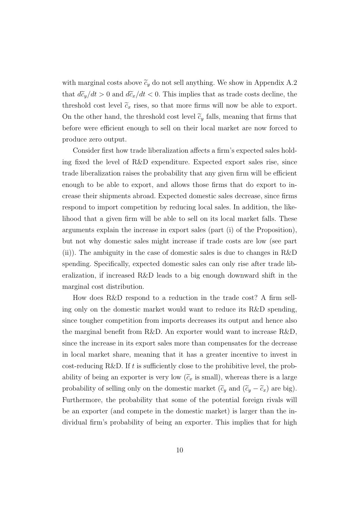with marginal costs above  $\tilde{c}_y$  do not sell anything. We show in Appendix A.2 that  $d\tilde{c}_y/dt > 0$  and  $d\tilde{c}_x/dt < 0$ . This implies that as trade costs decline, the threshold cost level  $\tilde{c}_x$  rises, so that more firms will now be able to export. On the other hand, the threshold cost level  $\tilde{c}_y$  falls, meaning that firms that before were efficient enough to sell on their local market are now forced to produce zero output.

Consider first how trade liberalization affects a firm's expected sales holding fixed the level of R&D expenditure. Expected export sales rise, since trade liberalization raises the probability that any given firm will be efficient enough to be able to export, and allows those firms that do export to increase their shipments abroad. Expected domestic sales decrease, since firms respond to import competition by reducing local sales. In addition, the likelihood that a given firm will be able to sell on its local market falls. These arguments explain the increase in export sales (part (i) of the Proposition), but not why domestic sales might increase if trade costs are low (see part (ii)). The ambiguity in the case of domestic sales is due to changes in R&D spending. Specifically, expected domestic sales can only rise after trade liberalization, if increased R&D leads to a big enough downward shift in the marginal cost distribution.

How does R&D respond to a reduction in the trade cost? A firm selling only on the domestic market would want to reduce its R&D spending, since tougher competition from imports decreases its output and hence also the marginal benefit from R&D. An exporter would want to increase R&D, since the increase in its export sales more than compensates for the decrease in local market share, meaning that it has a greater incentive to invest in cost-reducing R&D. If t is sufficiently close to the prohibitive level, the probability of being an exporter is very low  $(\widetilde{c}_x$  is small), whereas there is a large probability of selling only on the domestic market  $(\tilde{c}_y$  and  $(\tilde{c}_y - \tilde{c}_x)$  are big). Furthermore, the probability that some of the potential foreign rivals will be an exporter (and compete in the domestic market) is larger than the individual firm's probability of being an exporter. This implies that for high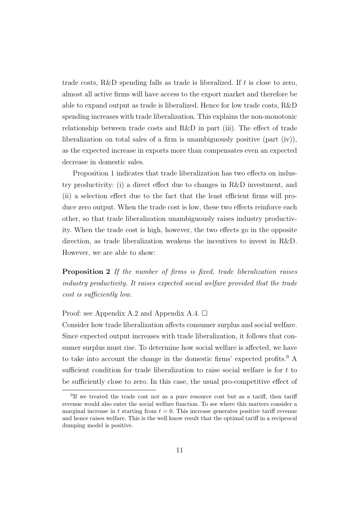trade costs, R&D spending falls as trade is liberalized. If  $t$  is close to zero, almost all active firms will have access to the export market and therefore be able to expand output as trade is liberalized. Hence for low trade costs, R&D spending increases with trade liberalization. This explains the non-monotonic relationship between trade costs and R&D in part (iii). The effect of trade liberalization on total sales of a firm is unambiguously positive (part (iv)), as the expected increase in exports more than compensates even an expected decrease in domestic sales.

Proposition 1 indicates that trade liberalization has two effects on industry productivity: (i) a direct effect due to changes in R&D investment, and (ii) a selection effect due to the fact that the least efficient firms will produce zero output. When the trade cost is low, these two effects reinforce each other, so that trade liberalization unambiguously raises industry productivity. When the trade cost is high, however, the two effects go in the opposite direction, as trade liberalization weakens the incentives to invest in R&D. However, we are able to show:

Proposition 2 If the number of firms is fixed, trade liberalization raises industry productivity. It raises expected social welfare provided that the trade cost is sufficiently low.

Proof: see Appendix A.2 and Appendix A.4.  $\Box$ 

Consider how trade liberalization affects consumer surplus and social welfare. Since expected output increases with trade liberalization, it follows that consumer surplus must rise. To determine how social welfare is affected, we have to take into account the change in the domestic firms' expected profits.<sup>9</sup> A sufficient condition for trade liberalization to raise social welfare is for t to be sufficiently close to zero. In this case, the usual pro-competitive effect of

<sup>&</sup>lt;sup>9</sup>If we treated the trade cost not as a pure resource cost but as a tariff, then tariff revenue would also enter the social welfare function. To see where this matters consider a marginal increase in t starting from  $t = 0$ . This increase generates positive tariff revenue and hence raises welfare. This is the well know result that the optimal tariff in a reciprocal dumping model is positive.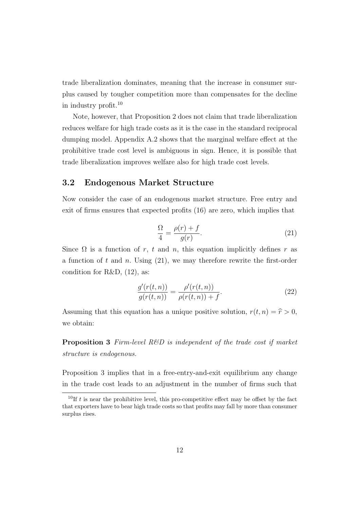trade liberalization dominates, meaning that the increase in consumer surplus caused by tougher competition more than compensates for the decline in industry profit.<sup>10</sup>

Note, however, that Proposition 2 does not claim that trade liberalization reduces welfare for high trade costs as it is the case in the standard reciprocal dumping model. Appendix A.2 shows that the marginal welfare effect at the prohibitive trade cost level is ambiguous in sign. Hence, it is possible that trade liberalization improves welfare also for high trade cost levels.

### 3.2 Endogenous Market Structure

Now consider the case of an endogenous market structure. Free entry and exit of firms ensures that expected profits (16) are zero, which implies that

$$
\frac{\Omega}{4} = \frac{\rho(r) + f}{g(r)}.\tag{21}
$$

Since  $\Omega$  is a function of r, t and n, this equation implicitly defines r as a function of t and n. Using  $(21)$ , we may therefore rewrite the first-order condition for R&D,  $(12)$ , as:

$$
\frac{g'(r(t,n))}{g(r(t,n))} = \frac{\rho'(r(t,n))}{\rho(r(t,n)) + f}.
$$
\n(22)

Assuming that this equation has a unique positive solution,  $r(t, n) = \hat{r} > 0$ , we obtain:

**Proposition 3** Firm-level  $R\&D$  is independent of the trade cost if market structure is endogenous.

Proposition 3 implies that in a free-entry-and-exit equilibrium any change in the trade cost leads to an adjustment in the number of firms such that

<sup>&</sup>lt;sup>10</sup>If t is near the prohibitive level, this pro-competitive effect may be offset by the fact that exporters have to bear high trade costs so that profits may fall by more than consumer surplus rises.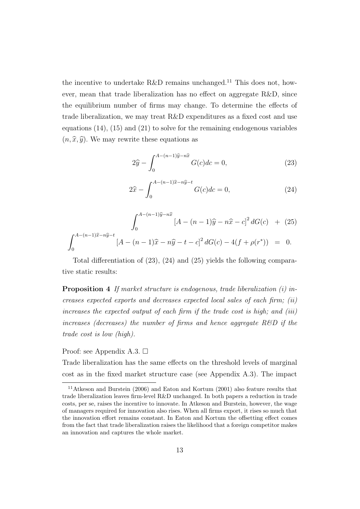the incentive to undertake R&D remains unchanged.<sup>11</sup> This does not, however, mean that trade liberalization has no effect on aggregate R&D, since the equilibrium number of firms may change. To determine the effects of trade liberalization, we may treat R&D expenditures as a fixed cost and use equations (14), (15) and (21) to solve for the remaining endogenous variables  $(n, \hat{x}, \hat{y})$ . We may rewrite these equations as

$$
2\hat{y} - \int_0^{A - (n-1)\hat{y} - n\hat{x}} G(c)dc = 0,
$$
 (23)

$$
2\hat{x} - \int_0^{A - (n-1)\hat{x} - n\hat{y} - t} G(c)dc = 0,
$$
\n(24)

$$
\int_0^{A-(n-1)\hat{y}-n\hat{x}} [A-(n-1)\hat{y}-n\hat{x}-c]^2 dG(c) + (25)
$$

$$
\int_0^{A-(n-1)\hat{x}-n\hat{y}-t} [A-(n-1)\hat{x}-n\hat{y}-t-c]^2 dG(c) - 4(f+\rho(r^*)) = 0.
$$

Total differentiation of (23), (24) and (25) yields the following comparative static results:

Proposition 4 If market structure is endogenous, trade liberalization (i) increases expected exports and decreases expected local sales of each firm; (ii) increases the expected output of each firm if the trade cost is high; and (iii) increases (decreases) the number of firms and hence aggregate  $R\&D$  if the trade cost is low (high).

#### Proof: see Appendix A.3.  $\Box$

Trade liberalization has the same effects on the threshold levels of marginal cost as in the fixed market structure case (see Appendix A.3). The impact

 $^{11}\mathrm{Atkeson}$  and Burstein (2006) and Eaton and Kortum (2001) also feature results that trade liberalization leaves firm-level R&D unchanged. In both papers a reduction in trade costs, per se, raises the incentive to innovate. In Atkeson and Burstein, however, the wage of managers required for innovation also rises. When all firms export, it rises so much that the innovation effort remains constant. In Eaton and Kortum the offsetting effect comes from the fact that trade liberalization raises the likelihood that a foreign competitor makes an innovation and captures the whole market.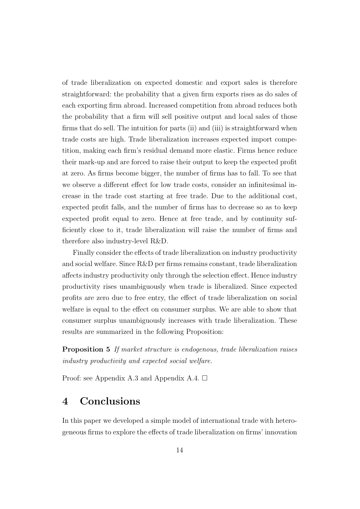of trade liberalization on expected domestic and export sales is therefore straightforward: the probability that a given firm exports rises as do sales of each exporting firm abroad. Increased competition from abroad reduces both the probability that a firm will sell positive output and local sales of those firms that do sell. The intuition for parts (ii) and (iii) is straightforward when trade costs are high. Trade liberalization increases expected import competition, making each firm's residual demand more elastic. Firms hence reduce their mark-up and are forced to raise their output to keep the expected profit at zero. As firms become bigger, the number of firms has to fall. To see that we observe a different effect for low trade costs, consider an infinitesimal increase in the trade cost starting at free trade. Due to the additional cost, expected profit falls, and the number of firms has to decrease so as to keep expected profit equal to zero. Hence at free trade, and by continuity sufficiently close to it, trade liberalization will raise the number of firms and therefore also industry-level R&D.

Finally consider the effects of trade liberalization on industry productivity and social welfare. Since R&D per firms remains constant, trade liberalization affects industry productivity only through the selection effect. Hence industry productivity rises unambiguously when trade is liberalized. Since expected profits are zero due to free entry, the effect of trade liberalization on social welfare is equal to the effect on consumer surplus. We are able to show that consumer surplus unambiguously increases with trade liberalization. These results are summarized in the following Proposition:

Proposition 5 If market structure is endogenous, trade liberalization raises industry productivity and expected social welfare.

Proof: see Appendix A.3 and Appendix A.4.  $\square$ 

## 4 Conclusions

In this paper we developed a simple model of international trade with heterogeneous firms to explore the effects of trade liberalization on firms' innovation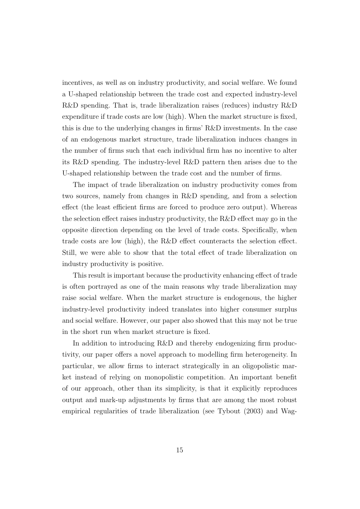incentives, as well as on industry productivity, and social welfare. We found a U-shaped relationship between the trade cost and expected industry-level R&D spending. That is, trade liberalization raises (reduces) industry R&D expenditure if trade costs are low (high). When the market structure is fixed, this is due to the underlying changes in firms' R&D investments. In the case of an endogenous market structure, trade liberalization induces changes in the number of firms such that each individual firm has no incentive to alter its R&D spending. The industry-level R&D pattern then arises due to the U-shaped relationship between the trade cost and the number of firms.

The impact of trade liberalization on industry productivity comes from two sources, namely from changes in R&D spending, and from a selection effect (the least efficient firms are forced to produce zero output). Whereas the selection effect raises industry productivity, the R&D effect may go in the opposite direction depending on the level of trade costs. Specifically, when trade costs are low (high), the R&D effect counteracts the selection effect. Still, we were able to show that the total effect of trade liberalization on industry productivity is positive.

This result is important because the productivity enhancing effect of trade is often portrayed as one of the main reasons why trade liberalization may raise social welfare. When the market structure is endogenous, the higher industry-level productivity indeed translates into higher consumer surplus and social welfare. However, our paper also showed that this may not be true in the short run when market structure is fixed.

In addition to introducing R&D and thereby endogenizing firm productivity, our paper offers a novel approach to modelling firm heterogeneity. In particular, we allow firms to interact strategically in an oligopolistic market instead of relying on monopolistic competition. An important benefit of our approach, other than its simplicity, is that it explicitly reproduces output and mark-up adjustments by firms that are among the most robust empirical regularities of trade liberalization (see Tybout (2003) and Wag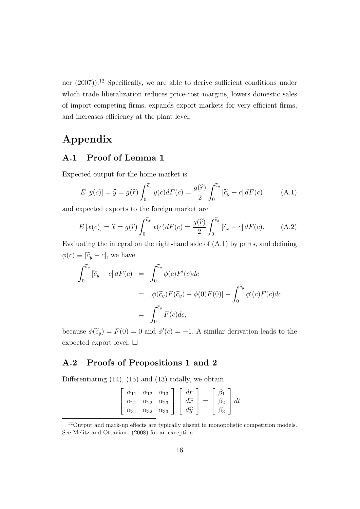ner  $(2007)$ <sup>12</sup> Specifically, we are able to derive sufficient conditions under which trade liberalization reduces price-cost margins, lowers domestic sales of import-competing firms, expands export markets for very efficient firms, and increases efficiency at the plant level.

## Appendix

### A.1 Proof of Lemma 1

Expected output for the home market is

$$
E[y(c)] = \hat{y} = g(\hat{r}) \int_0^{\tilde{c}_y} y(c) dF(c) = \frac{g(\hat{r})}{2} \int_0^{\tilde{c}_y} [\tilde{c}_y - c] dF(c) \tag{A.1}
$$

and expected exports to the foreign market are

$$
E\left[x(c)\right] = \widehat{x} = g(\widehat{r}) \int_0^{\widetilde{c}_x} x(c) dF(c) = \frac{g(\widehat{r})}{2} \int_0^{\widetilde{c}_x} \left[\widetilde{c}_x - c\right] dF(c). \tag{A.2}
$$

Evaluating the integral on the right-hand side of (A.1) by parts, and defining  $\phi(c) \equiv [\tilde{c}_y - c]$ , we have

$$
\int_0^{\tilde{c}_y} \left[ \tilde{c}_y - c \right] dF(c) = \int_0^{\tilde{c}_y} \phi(c) F'(c) dc
$$
  

$$
= \left[ \phi(\tilde{c}_y) F(\tilde{c}_y) - \phi(0) F(0) \right] - \int_0^{\tilde{c}_y} \phi'(c) F(c) dc
$$
  

$$
= \int_0^{\tilde{c}_y} F(c) dc,
$$

because  $\phi(\tilde{c}_y) = F(0) = 0$  and  $\phi'(c) = -1$ . A similar derivation leads to the expected export level.  $\square$ 

### A.2 Proofs of Propositions 1 and 2

Differentiating  $(14)$ ,  $(15)$  and  $(13)$  totally, we obtain

|  | $\left[\begin{array}{ccc} \alpha_{11} & \alpha_{12} & \alpha_{13} \\ \alpha_{21} & \alpha_{22} & \alpha_{23} \\ \alpha_{31} & \alpha_{32} & \alpha_{33} \end{array}\right] \left[\begin{array}{c} dr \\ d\hat{x} \\ d\hat{y} \end{array}\right] = \left[\begin{array}{c} \beta_1 \\ \beta_2 \\ \beta_3 \end{array}\right] dt$ |  |  |
|--|-------------------------------------------------------------------------------------------------------------------------------------------------------------------------------------------------------------------------------------------------------------------------------------------------------------------------------|--|--|

<sup>12</sup>Output and mark-up effects are typically absent in monopolistic competition models. See Melitz and Ottaviano (2008) for an exception.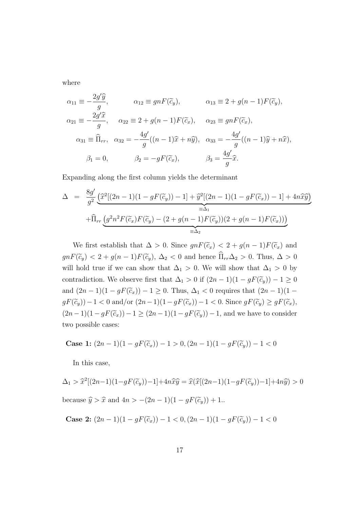where

$$
\alpha_{11} \equiv -\frac{2g'\hat{y}}{g}, \qquad \alpha_{12} \equiv gnF(\tilde{c}_y), \qquad \alpha_{13} \equiv 2 + g(n-1)F(\tilde{c}_y),
$$
  
\n
$$
\alpha_{21} \equiv -\frac{2g'\hat{x}}{g}, \qquad \alpha_{22} \equiv 2 + g(n-1)F(\tilde{c}_x), \qquad \alpha_{23} \equiv gnF(\tilde{c}_x),
$$
  
\n
$$
\alpha_{31} \equiv \widehat{\Pi}_{rr}, \quad \alpha_{32} = -\frac{4g'}{g}((n-1)\hat{x} + n\hat{y}), \quad \alpha_{33} = -\frac{4g'}{g}((n-1)\hat{y} + n\hat{x}),
$$
  
\n
$$
\beta_1 = 0, \qquad \beta_2 = -gF(\tilde{c}_x), \qquad \beta_3 = \frac{4g'}{g}\hat{x}.
$$

Expanding along the first column yields the determinant

$$
\Delta = \frac{8g'}{g^2} \underbrace{\left(\hat{x}^2[(2n-1)(1-gF(\tilde{c}_y))-1]+\hat{y}^2[(2n-1)(1-gF(\tilde{c}_x))-1]+4n\hat{x}\hat{y}\right)}_{\equiv \Delta_1}
$$
  
 
$$
+\widehat{\Pi}_{rr} \underbrace{\left(g^2n^2F(\tilde{c}_x)F(\tilde{c}_y)-(2+g(n-1)F(\tilde{c}_y))(2+g(n-1)F(\tilde{c}_x))\right)}_{\equiv \Delta_2}
$$

We first establish that  $\Delta > 0$ . Since  $gnF(\tilde{c}_x) < 2 + g(n-1)F(\tilde{c}_x)$  and  $gnF(\widetilde{c}_y) < 2 + g(n-1)F(\widetilde{c}_y), \Delta_2 < 0$  and hence  $\widehat{\Pi}_{rr}\Delta_2 > 0$ . Thus,  $\Delta > 0$ will hold true if we can show that  $\Delta_1 > 0$ . We will show that  $\Delta_1 > 0$  by contradiction. We observe first that  $\Delta_1 > 0$  if  $(2n - 1)(1 - gF(\tilde{c}_y)) - 1 \ge 0$ and  $(2n-1)(1-gF(\tilde{c}_x))-1\geq 0$ . Thus,  $\Delta_1 < 0$  requires that  $(2n-1)(1-\tilde{c}_x)$  $gF(\widetilde{c}_y))-1 < 0$  and/or  $(2n-1)(1-gF(\widetilde{c}_x))-1 < 0$ . Since  $gF(\widetilde{c}_y) \geq gF(\widetilde{c}_x)$ ,  $(2n-1)(1-gF(\tilde{c}_x))-1\geq (2n-1)(1-gF(\tilde{c}_y))-1$ , and we have to consider two possible cases:

Case 1: 
$$
(2n - 1)(1 - gF(\tilde{c}_x)) - 1 > 0
$$
,  $(2n - 1)(1 - gF(\tilde{c}_y)) - 1 < 0$ 

In this case,

$$
\Delta_1 > \widehat{x}^2[(2n-1)(1-gF(\widetilde{c}_y))-1]+4n\widehat{x}\widehat{y} = \widehat{x}(\widehat{x}[(2n-1)(1-gF(\widetilde{c}_y))-1]+4n\widehat{y}) > 0
$$
  
because  $\widehat{y} > \widehat{x}$  and  $4n > -(2n-1)(1-gF(\widetilde{c}_y))+1$ .

Case 2: 
$$
(2n-1)(1-gF(\tilde{c}_x)) - 1 < 0, (2n-1)(1-gF(\tilde{c}_y)) - 1 < 0
$$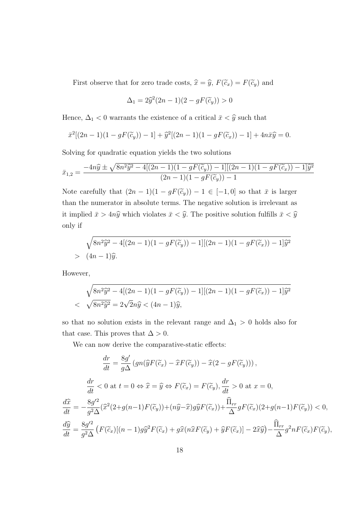First observe that for zero trade costs,  $\hat{x} = \hat{y}$ ,  $F(\tilde{c}_x) = F(\tilde{c}_y)$  and

$$
\Delta_1 = 2\widehat{y}^2(2n-1)(2 - gF(\widetilde{c}_y)) > 0
$$

Hence,  $\Delta_1<0$  warrants the existence of a critical  $\bar{x}<\widehat{y}$  such that

$$
\bar{x}^{2}[(2n-1)(1-gF(\tilde{c}_{y}))-1]+\hat{y}^{2}[(2n-1)(1-gF(\tilde{c}_{x}))-1]+4n\bar{x}\hat{y}=0.
$$

Solving for quadratic equation yields the two solutions

$$
\bar{x}_{1,2} = \frac{-4n\hat{y} \pm \sqrt{8n^2\hat{y}^2 - 4[(2n-1)(1-gF(\tilde{c}_y))-1][(2n-1)(1-gF(\tilde{c}_x))-1]\hat{y}^2}}{(2n-1)(1-gF(\tilde{c}_y))-1}
$$

Note carefully that  $(2n - 1)(1 - gF(\tilde{c}_y)) - 1 \in [-1, 0]$  so that  $\bar{x}$  is larger than the numerator in absolute terms. The negative solution is irrelevant as it implied  $\bar{x} > 4n\hat{y}$  which violates  $\bar{x} < \hat{y}$ . The positive solution fulfills  $\bar{x} < \hat{y}$ only if

$$
\sqrt{8n^2\hat{y}^2 - 4[(2n-1)(1 - gF(\tilde{c}_y)) - 1][(2n-1)(1 - gF(\tilde{c}_x)) - 1]\hat{y}^2}
$$
  
> 
$$
(4n-1)\hat{y}.
$$

However,

$$
\sqrt{8n^2\hat{y}^2 - 4[(2n-1)(1 - gF(\tilde{c}_y)) - 1][(2n-1)(1 - gF(\tilde{c}_x)) - 1]\hat{y}^2}
$$
  
< 
$$
\sqrt{8n^2\hat{y}^2} = 2\sqrt{2}n\hat{y} < (4n-1)\hat{y},
$$

so that no solution exists in the relevant range and  $\Delta_1 > 0$  holds also for that case. This proves that  $\Delta > 0$ .

We can now derive the comparative-static effects:

$$
\frac{dr}{dt} = \frac{8g'}{g\Delta} \left( gn(\hat{y}F(\tilde{c}_x) - \hat{x}F(\tilde{c}_y)) - \hat{x}(2 - gF(\tilde{c}_y)) \right),
$$
\n
$$
\frac{dr}{dt} < 0 \text{ at } t = 0 \Leftrightarrow \hat{x} = \hat{y} \Leftrightarrow F(\tilde{c}_x) = F(\tilde{c}_y), \frac{dr}{dt} > 0 \text{ at } x = 0,
$$
\n
$$
\frac{d\hat{x}}{dt} = -\frac{8g'^2}{g^2\Delta} (\hat{x}^2(2+g(n-1)F(\tilde{c}_y)) + (n\hat{y} - \hat{x})g\hat{y}F(\tilde{c}_x)) + \frac{\hat{\Pi}_{rr}}{\Delta} gF(\tilde{c}_x)(2+g(n-1)F(\tilde{c}_y)) < 0,
$$
\n
$$
\frac{d\hat{y}}{dt} = \frac{8g'^2}{g^2\Delta} \left( F(\tilde{c}_x)[(n-1)g\hat{y}^2F(\tilde{c}_x) + g\hat{x}(n\hat{x}F(\tilde{c}_y) + \hat{y}F(\tilde{c}_x)] - 2\hat{x}\hat{y} \right) - \frac{\hat{\Pi}_{rr}}{\Delta} g^2 nF(\tilde{c}_x)F(\tilde{c}_y),
$$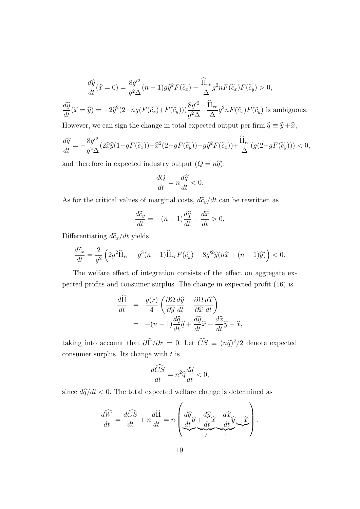$$
\frac{d\widehat{y}}{dt}(\widehat{x}=0) = \frac{8g^{\prime 2}}{g^2 \Delta}(n-1)g\widehat{y}^2 F(\widetilde{c}_x) - \frac{\widehat{\Pi}_{rr}}{\Delta} g^2 n F(\widetilde{c}_x) F(\widetilde{c}_y) > 0,
$$
  

$$
\frac{d\widehat{y}}{dt}(\widehat{x}=\widehat{y}) = -2\widehat{y}^2 (2-ng(F(\widetilde{c}_x)+F(\widetilde{c}_y)))\frac{8g^{\prime 2}}{g^2 \Delta} - \frac{\widehat{\Pi}_{rr}}{\Delta} g^2 n F(\widetilde{c}_x) F(\widetilde{c}_y) \text{ is ambiguous.}
$$

However, we can sign the change in total expected output per firm  $\hat{q} \equiv \hat{y} + \hat{x}$ ,

$$
\frac{d\widehat{q}}{dt} = -\frac{8g^{\prime 2}}{g^2 \Delta} (2\widehat{x}\widehat{y}(1 - gF(\widetilde{c}_x)) - \widehat{x}^2(2 - gF(\widetilde{c}_y)) - g\widehat{y}^2 F(\widetilde{c}_x)) + \frac{\widehat{\Pi}_{rr}}{\Delta} (g(2 - gF(\widetilde{c}_y))) < 0,
$$

and therefore in expected industry output  $(Q = n\hat{q})$ :

$$
\frac{dQ}{dt} = n\frac{d\hat{q}}{dt} < 0.
$$

As for the critical values of marginal costs,  $d\tilde{c}_y/dt$  can be rewritten as

$$
\frac{d\tilde{c}_y}{dt} = -(n-1)\frac{d\hat{q}}{dt} - \frac{d\hat{x}}{dt} > 0.
$$

Differentiating  $d\tilde{c}_x/dt$  yields

$$
\frac{d\widetilde{c}_x}{dt} = \frac{2}{g^2} \left( 2g^2 \widehat{\Pi}_{rr} + g^3(n-1) \widehat{\Pi}_{rr} F(\widetilde{c}_y) - 8g'^2 \widehat{y}(n\widehat{x} + (n-1)\widehat{y}) \right) < 0.
$$

The welfare effect of integration consists of the effect on aggregate expected profits and consumer surplus. The change in expected profit (16) is

$$
\frac{d\hat{\Pi}}{dt} = \frac{g(r)}{4} \left( \frac{\partial \Omega}{\partial \hat{y}} \frac{d\hat{y}}{dt} + \frac{\partial \Omega}{\partial \hat{x}} \frac{d\hat{x}}{dt} \right)
$$

$$
= -(n-1) \frac{d\hat{q}}{dt} \hat{q} + \frac{d\hat{y}}{dt} \hat{x} - \frac{d\hat{x}}{dt} \hat{y} - \hat{x},
$$

taking into account that  $\frac{\partial \hat{\Pi}}{\partial r} = 0$ . Let  $\hat{C}\hat{S} \equiv (n\hat{q})^2/2$  denote expected consumer surplus. Its change with  $t$  is

$$
\frac{d\widehat{CS}}{dt} = n^2 \widehat{q} \frac{d\widehat{q}}{dt} < 0,
$$

since  $d\hat{q}/dt < 0$ . The total expected welfare change is determined as

$$
\frac{d\widehat{W}}{dt} = \frac{d\widehat{CS}}{dt} + n\frac{d\widehat{\Pi}}{dt} = n \left( \underbrace{\frac{d\widehat{q}}{dt}\widehat{q} + \frac{d\widehat{y}}{dt}\widehat{x}}_{-} - \underbrace{\frac{d\widehat{x}}{dt}\widehat{y}}_{+} - \underbrace{\widehat{x}}_{-} \right).
$$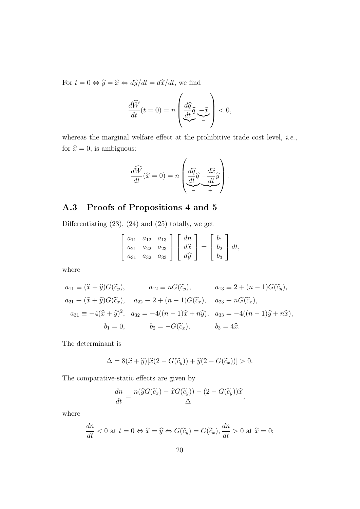For  $t = 0 \Leftrightarrow \hat{y} = \hat{x} \Leftrightarrow d\hat{y}/dt = d\hat{x}/dt$ , we find

$$
\frac{d\widehat{W}}{dt}(t=0) = n \left( \underbrace{\frac{d\widehat{q}}{dt}\widehat{q}}_{-} - \underbrace{\widehat{x}}_{-} \right) < 0,
$$

whereas the marginal welfare effect at the prohibitive trade cost level, *i.e.*, for  $\hat{x} = 0$ , is ambiguous:

$$
\frac{d\widehat{W}}{dt}(\widehat{x}=0) = n \left( \underbrace{\frac{d\widehat{q}}{dt}\widehat{q} - \frac{d\widehat{x}}{dt}\widehat{y}}_{-} \right).
$$

### A.3 Proofs of Propositions 4 and 5

Differentiating (23), (24) and (25) totally, we get

$$
\begin{bmatrix} a_{11} & a_{12} & a_{13} \ a_{21} & a_{22} & a_{23} \ a_{31} & a_{32} & a_{33} \end{bmatrix} \begin{bmatrix} dn \\ d\hat{x} \\ d\hat{y} \end{bmatrix} = \begin{bmatrix} b_1 \\ b_2 \\ b_3 \end{bmatrix} dt,
$$

where

$$
a_{11} \equiv (\hat{x} + \hat{y})G(\tilde{c}_y), \qquad a_{12} \equiv nG(\tilde{c}_y), \qquad a_{13} \equiv 2 + (n - 1)G(\tilde{c}_y),
$$
  
\n
$$
a_{21} \equiv (\hat{x} + \hat{y})G(\tilde{c}_x), \qquad a_{22} \equiv 2 + (n - 1)G(\tilde{c}_x), \qquad a_{23} \equiv nG(\tilde{c}_x),
$$
  
\n
$$
a_{31} \equiv -4(\hat{x} + \hat{y})^2, \quad a_{32} = -4((n - 1)\hat{x} + n\hat{y}), \quad a_{33} = -4((n - 1)\hat{y} + n\hat{x}),
$$
  
\n
$$
b_1 = 0, \qquad b_2 = -G(\tilde{c}_x), \qquad b_3 = 4\hat{x}.
$$

The determinant is

$$
\Delta = 8(\widehat{x} + \widehat{y})[\widehat{x}(2 - G(\widetilde{c}_y)) + \widehat{y}(2 - G(\widetilde{c}_x))] > 0.
$$

The comparative-static effects are given by

$$
\frac{dn}{dt} = \frac{n(\widehat{y}G(\widetilde{c}_x) - \widehat{x}G(\widetilde{c}_y)) - (2 - G(\widetilde{c}_y))\widehat{x}}{\Delta},
$$

where

$$
\frac{dn}{dt} < 0 \text{ at } t = 0 \Leftrightarrow \hat{x} = \hat{y} \Leftrightarrow G(\tilde{c}_y) = G(\tilde{c}_x), \frac{dn}{dt} > 0 \text{ at } \hat{x} = 0;
$$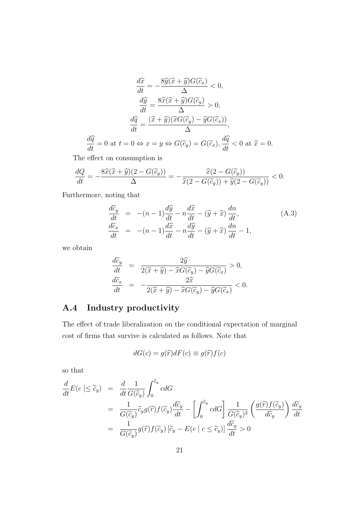$$
\frac{d\hat{x}}{dt} = -\frac{8\hat{y}(\hat{x} + \hat{y})G(\tilde{c}_x)}{\Delta} < 0,
$$

$$
\frac{d\hat{y}}{dt} = \frac{8\hat{x}(\hat{x} + \hat{y})G(\tilde{c}_y)}{\Delta} > 0,
$$

$$
\frac{d\hat{q}}{dt} = \frac{(\hat{x} + \hat{y})(\hat{x}G(\tilde{c}_y) - \hat{y}G(\tilde{c}_x))}{\Delta},
$$

$$
\frac{d\hat{q}}{dt} = 0 \text{ at } t = 0 \Leftrightarrow x = y \Leftrightarrow G(\tilde{c}_y) = G(\tilde{c}_x), \frac{d\hat{q}}{dt} < 0 \text{ at } \hat{x} = 0.
$$

The effect on consumption is

$$
\frac{dQ}{dt} = -\frac{8\widehat{x}(\widehat{x} + \widehat{y})(2 - G(\widetilde{c}_y))}{\Delta} = -\frac{\widehat{x}(2 - G(\widetilde{c}_y))}{\widehat{x}(2 - G(\widetilde{c}_y)) + \widehat{y}(2 - G(\widetilde{c}_y))} < 0.
$$

Furthermore, noting that

$$
\begin{array}{rcl}\n\frac{d\widetilde{c}_y}{dt} & = & -(n-1)\frac{d\widehat{y}}{dt} - n\frac{d\widehat{x}}{dt} - (\widehat{y} + \widehat{x})\frac{dn}{dt}, \\
\frac{d\widetilde{c}_x}{dt} & = & -(n-1)\frac{d\widehat{x}}{dt} - n\frac{d\widehat{y}}{dt} - (\widehat{y} + \widehat{x})\frac{dn}{dt} - 1,\n\end{array} \tag{A.3}
$$

we obtain

$$
\frac{d\widetilde{c}_y}{dt} = \frac{2\widehat{y}}{2(\widehat{x} + \widehat{y}) - \widehat{x}G(\widetilde{c}_y) - \widehat{y}G(\widetilde{c}_x)} > 0,
$$
  

$$
\frac{d\widetilde{c}_x}{dt} = -\frac{2\widehat{x}}{2(\widehat{x} + \widehat{y}) - \widehat{x}G(\widetilde{c}_y) - \widehat{y}G(\widetilde{c}_x)} < 0.
$$

## A.4 Industry productivity

The effect of trade liberalization on the conditional expectation of marginal cost of firms that survive is calculated as follows. Note that

$$
dG(c) = g(\widehat{r})dF(c) \equiv g(\widehat{r})f(c)
$$

so that

$$
\frac{d}{dt}E(c \mid \leq \widetilde{c}_y) = \frac{d}{dt}\frac{1}{G(\widetilde{c}_y)}\int_0^{\widetilde{c}_y} c dG
$$
\n
$$
= \frac{1}{G(\widetilde{c}_y)}\widetilde{c}_y g(\widehat{r}) f(\widetilde{c}_y) \frac{d\widetilde{c}_y}{dt} - \left[\int_0^{\widetilde{c}_y} c dG\right] \frac{1}{G(\widetilde{c}_y)^2} \left(\frac{g(\widehat{r}) f(\widetilde{c}_y)}{d\widetilde{c}_y}\right) \frac{d\widetilde{c}_y}{dt}
$$
\n
$$
= \frac{1}{G(\widetilde{c}_y)}g(\widehat{r}) f(\widetilde{c}_y) [\widetilde{c}_y - E(c \mid c \leq \widetilde{c}_y)] \frac{d\widetilde{c}_y}{dt} > 0
$$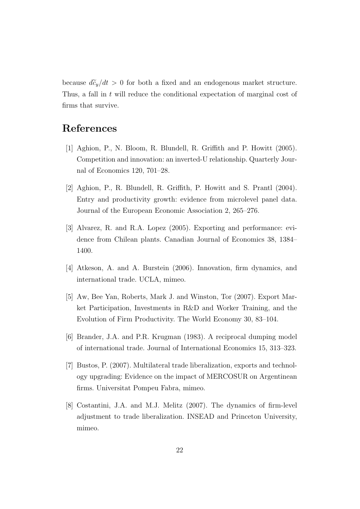because  $d\tilde{c}_y/dt > 0$  for both a fixed and an endogenous market structure. Thus, a fall in t will reduce the conditional expectation of marginal cost of firms that survive.

### References

- [1] Aghion, P., N. Bloom, R. Blundell, R. Griffith and P. Howitt (2005). Competition and innovation: an inverted-U relationship. Quarterly Journal of Economics 120, 701–28.
- [2] Aghion, P., R. Blundell, R. Griffith, P. Howitt and S. Prantl (2004). Entry and productivity growth: evidence from microlevel panel data. Journal of the European Economic Association 2, 265–276.
- [3] Alvarez, R. and R.A. Lopez (2005). Exporting and performance: evidence from Chilean plants. Canadian Journal of Economics 38, 1384– 1400.
- [4] Atkeson, A. and A. Burstein (2006). Innovation, firm dynamics, and international trade. UCLA, mimeo.
- [5] Aw, Bee Yan, Roberts, Mark J. and Winston, Tor (2007). Export Market Participation, Investments in R&D and Worker Training, and the Evolution of Firm Productivity. The World Economy 30, 83–104.
- [6] Brander, J.A. and P.R. Krugman (1983). A reciprocal dumping model of international trade. Journal of International Economics 15, 313–323.
- [7] Bustos, P. (2007). Multilateral trade liberalization, exports and technology upgrading: Evidence on the impact of MERCOSUR on Argentinean firms. Universitat Pompeu Fabra, mimeo.
- [8] Costantini, J.A. and M.J. Melitz (2007). The dynamics of firm-level adjustment to trade liberalization. INSEAD and Princeton University, mimeo.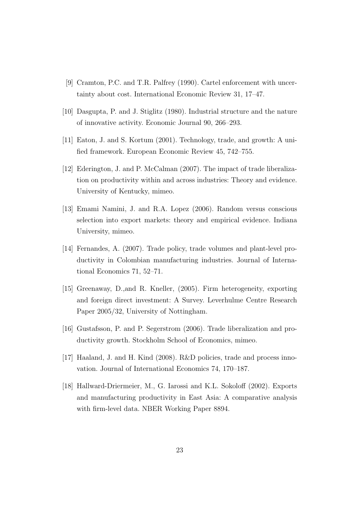- [9] Cramton, P.C. and T.R. Palfrey (1990). Cartel enforcement with uncertainty about cost. International Economic Review 31, 17–47.
- [10] Dasgupta, P. and J. Stiglitz (1980). Industrial structure and the nature of innovative activity. Economic Journal 90, 266–293.
- [11] Eaton, J. and S. Kortum (2001). Technology, trade, and growth: A unified framework. European Economic Review 45, 742–755.
- [12] Ederington, J. and P. McCalman (2007). The impact of trade liberalization on productivity within and across industries: Theory and evidence. University of Kentucky, mimeo.
- [13] Emami Namini, J. and R.A. Lopez (2006). Random versus conscious selection into export markets: theory and empirical evidence. Indiana University, mimeo.
- [14] Fernandes, A. (2007). Trade policy, trade volumes and plant-level productivity in Colombian manufacturing industries. Journal of International Economics 71, 52–71.
- [15] Greenaway, D.,and R. Kneller, (2005). Firm heterogeneity, exporting and foreign direct investment: A Survey. Leverhulme Centre Research Paper 2005/32, University of Nottingham.
- [16] Gustafsson, P. and P. Segerstrom (2006). Trade liberalization and productivity growth. Stockholm School of Economics, mimeo.
- [17] Haaland, J. and H. Kind (2008). R&D policies, trade and process innovation. Journal of International Economics 74, 170–187.
- [18] Hallward-Driermeier, M., G. Iarossi and K.L. Sokoloff (2002). Exports and manufacturing productivity in East Asia: A comparative analysis with firm-level data. NBER Working Paper 8894.